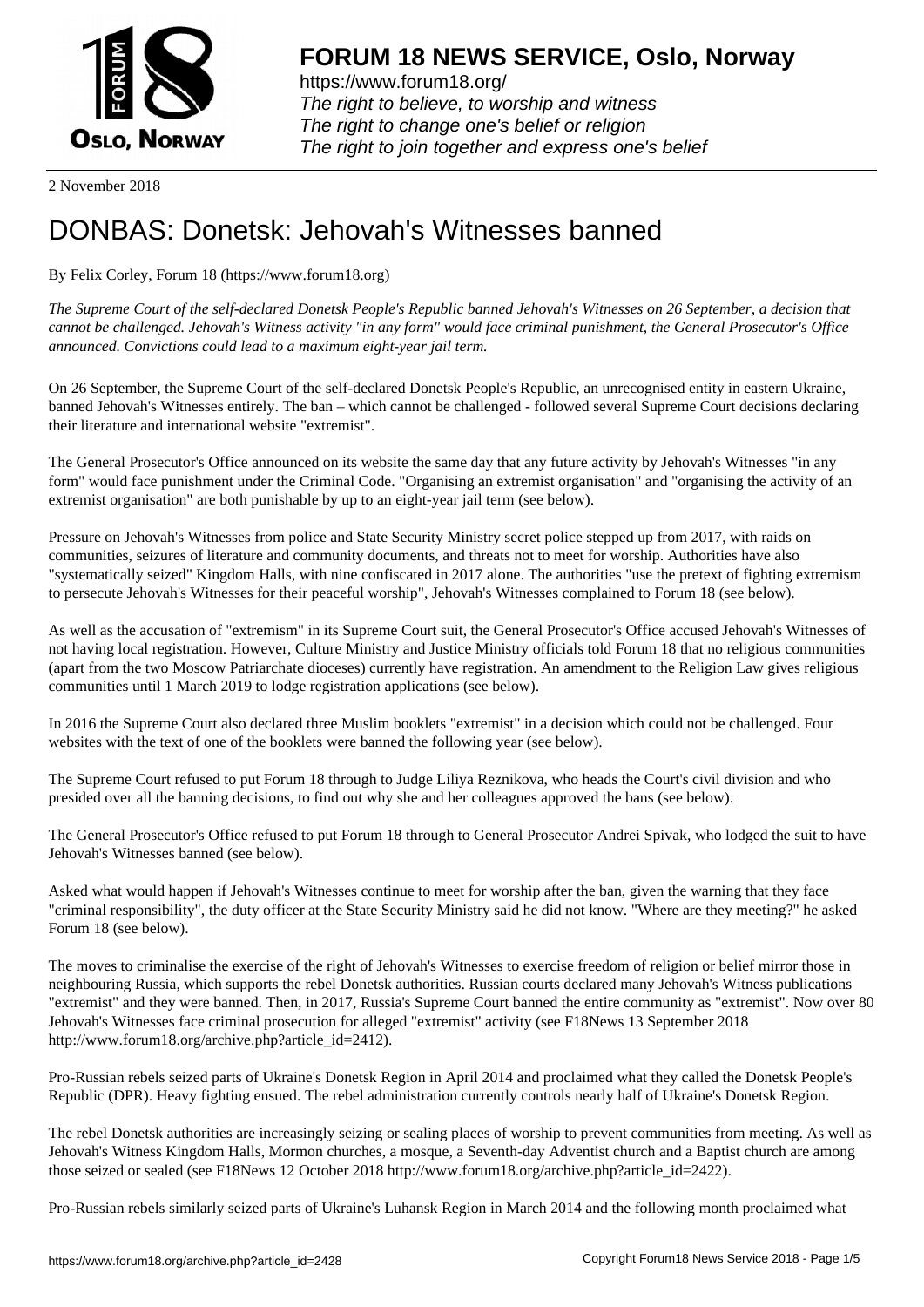

https://www.forum18.org/ The right to believe, to worship and witness The right to change one's belief or religion [The right to join together a](https://www.forum18.org/)nd express one's belief

2 November 2018

## [DONBAS: Done](https://www.forum18.org)tsk: Jehovah's Witnesses banned

By Felix Corley, Forum 18 (https://www.forum18.org)

*The Supreme Court of the self-declared Donetsk People's Republic banned Jehovah's Witnesses on 26 September, a decision that cannot be challenged. Jehovah's Witness activity "in any form" would face criminal punishment, the General Prosecutor's Office announced. Convictions could lead to a maximum eight-year jail term.*

On 26 September, the Supreme Court of the self-declared Donetsk People's Republic, an unrecognised entity in eastern Ukraine, banned Jehovah's Witnesses entirely. The ban – which cannot be challenged - followed several Supreme Court decisions declaring their literature and international website "extremist".

The General Prosecutor's Office announced on its website the same day that any future activity by Jehovah's Witnesses "in any form" would face punishment under the Criminal Code. "Organising an extremist organisation" and "organising the activity of an extremist organisation" are both punishable by up to an eight-year jail term (see below).

Pressure on Jehovah's Witnesses from police and State Security Ministry secret police stepped up from 2017, with raids on communities, seizures of literature and community documents, and threats not to meet for worship. Authorities have also "systematically seized" Kingdom Halls, with nine confiscated in 2017 alone. The authorities "use the pretext of fighting extremism to persecute Jehovah's Witnesses for their peaceful worship", Jehovah's Witnesses complained to Forum 18 (see below).

As well as the accusation of "extremism" in its Supreme Court suit, the General Prosecutor's Office accused Jehovah's Witnesses of not having local registration. However, Culture Ministry and Justice Ministry officials told Forum 18 that no religious communities (apart from the two Moscow Patriarchate dioceses) currently have registration. An amendment to the Religion Law gives religious communities until 1 March 2019 to lodge registration applications (see below).

In 2016 the Supreme Court also declared three Muslim booklets "extremist" in a decision which could not be challenged. Four websites with the text of one of the booklets were banned the following year (see below).

The Supreme Court refused to put Forum 18 through to Judge Liliya Reznikova, who heads the Court's civil division and who presided over all the banning decisions, to find out why she and her colleagues approved the bans (see below).

The General Prosecutor's Office refused to put Forum 18 through to General Prosecutor Andrei Spivak, who lodged the suit to have Jehovah's Witnesses banned (see below).

Asked what would happen if Jehovah's Witnesses continue to meet for worship after the ban, given the warning that they face "criminal responsibility", the duty officer at the State Security Ministry said he did not know. "Where are they meeting?" he asked Forum 18 (see below).

The moves to criminalise the exercise of the right of Jehovah's Witnesses to exercise freedom of religion or belief mirror those in neighbouring Russia, which supports the rebel Donetsk authorities. Russian courts declared many Jehovah's Witness publications "extremist" and they were banned. Then, in 2017, Russia's Supreme Court banned the entire community as "extremist". Now over 80 Jehovah's Witnesses face criminal prosecution for alleged "extremist" activity (see F18News 13 September 2018 http://www.forum18.org/archive.php?article\_id=2412).

Pro-Russian rebels seized parts of Ukraine's Donetsk Region in April 2014 and proclaimed what they called the Donetsk People's Republic (DPR). Heavy fighting ensued. The rebel administration currently controls nearly half of Ukraine's Donetsk Region.

The rebel Donetsk authorities are increasingly seizing or sealing places of worship to prevent communities from meeting. As well as Jehovah's Witness Kingdom Halls, Mormon churches, a mosque, a Seventh-day Adventist church and a Baptist church are among those seized or sealed (see F18News 12 October 2018 http://www.forum18.org/archive.php?article\_id=2422).

Pro-Russian rebels similarly seized parts of Ukraine's Luhansk Region in March 2014 and the following month proclaimed what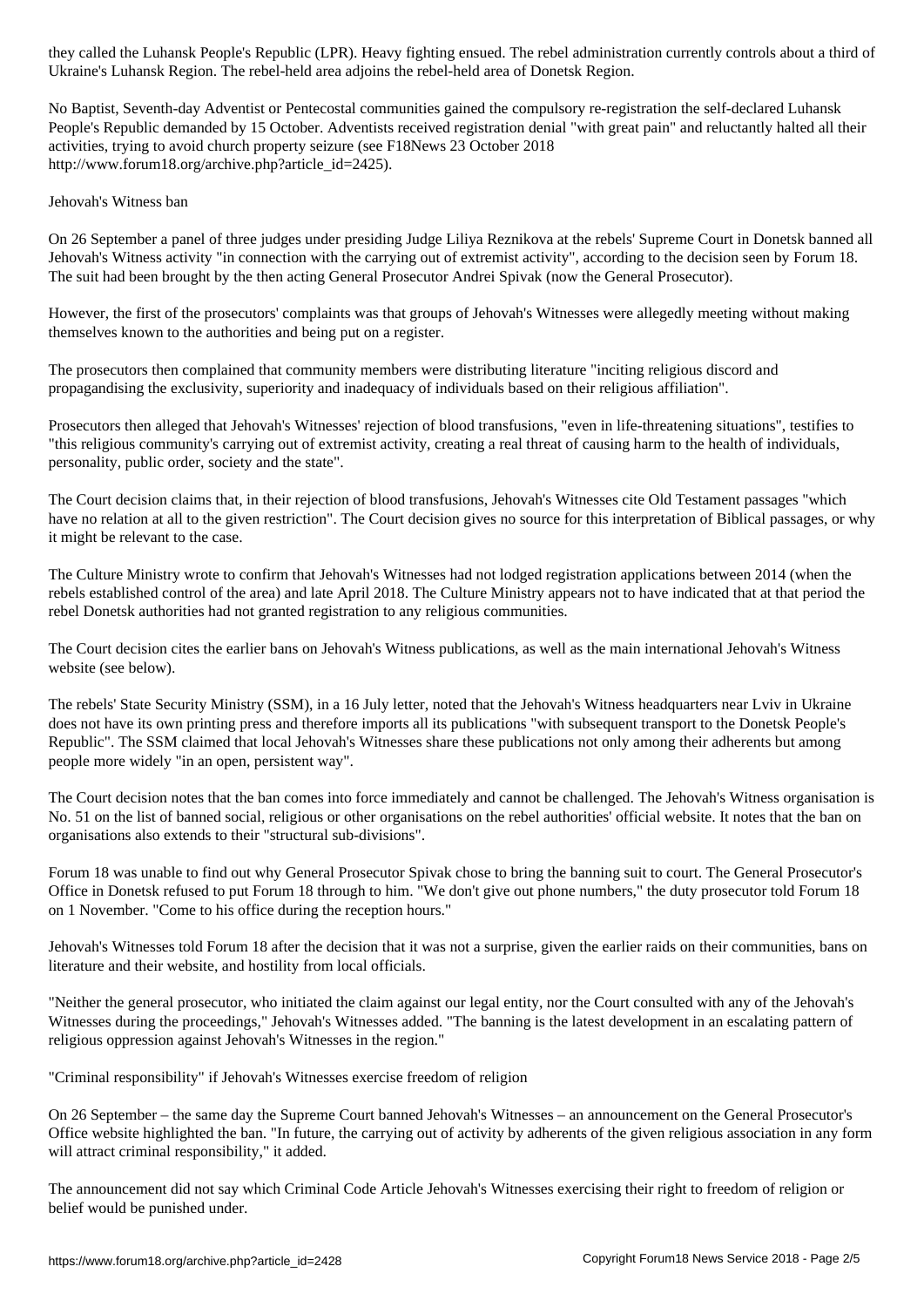Ukraine's Luhansk Region. The rebel-held area adjoins the rebel-held area of Donetsk Region.

No Baptist, Seventh-day Adventist or Pentecostal communities gained the compulsory re-registration the self-declared Luhansk People's Republic demanded by 15 October. Adventists received registration denial "with great pain" and reluctantly halted all their activities, trying to avoid church property seizure (see F18News 23 October 2018 http://www.forum18.org/archive.php?article\_id=2425).

Jehovah's Witness ban

On 26 September a panel of three judges under presiding Judge Liliya Reznikova at the rebels' Supreme Court in Donetsk banned all Jehovah's Witness activity "in connection with the carrying out of extremist activity", according to the decision seen by Forum 18. The suit had been brought by the then acting General Prosecutor Andrei Spivak (now the General Prosecutor).

However, the first of the prosecutors' complaints was that groups of Jehovah's Witnesses were allegedly meeting without making themselves known to the authorities and being put on a register.

The prosecutors then complained that community members were distributing literature "inciting religious discord and propagandising the exclusivity, superiority and inadequacy of individuals based on their religious affiliation".

Prosecutors then alleged that Jehovah's Witnesses' rejection of blood transfusions, "even in life-threatening situations", testifies to "this religious community's carrying out of extremist activity, creating a real threat of causing harm to the health of individuals, personality, public order, society and the state".

The Court decision claims that, in their rejection of blood transfusions, Jehovah's Witnesses cite Old Testament passages "which have no relation at all to the given restriction". The Court decision gives no source for this interpretation of Biblical passages, or why it might be relevant to the case.

The Culture Ministry wrote to confirm that Jehovah's Witnesses had not lodged registration applications between 2014 (when the rebels established control of the area) and late April 2018. The Culture Ministry appears not to have indicated that at that period the rebel Donetsk authorities had not granted registration to any religious communities.

The Court decision cites the earlier bans on Jehovah's Witness publications, as well as the main international Jehovah's Witness website (see below).

The rebels' State Security Ministry (SSM), in a 16 July letter, noted that the Jehovah's Witness headquarters near Lviv in Ukraine does not have its own printing press and therefore imports all its publications "with subsequent transport to the Donetsk People's Republic". The SSM claimed that local Jehovah's Witnesses share these publications not only among their adherents but among people more widely "in an open, persistent way".

The Court decision notes that the ban comes into force immediately and cannot be challenged. The Jehovah's Witness organisation is No. 51 on the list of banned social, religious or other organisations on the rebel authorities' official website. It notes that the ban on organisations also extends to their "structural sub-divisions".

Forum 18 was unable to find out why General Prosecutor Spivak chose to bring the banning suit to court. The General Prosecutor's Office in Donetsk refused to put Forum 18 through to him. "We don't give out phone numbers," the duty prosecutor told Forum 18 on 1 November. "Come to his office during the reception hours."

Jehovah's Witnesses told Forum 18 after the decision that it was not a surprise, given the earlier raids on their communities, bans on literature and their website, and hostility from local officials.

"Neither the general prosecutor, who initiated the claim against our legal entity, nor the Court consulted with any of the Jehovah's Witnesses during the proceedings," Jehovah's Witnesses added. "The banning is the latest development in an escalating pattern of religious oppression against Jehovah's Witnesses in the region."

"Criminal responsibility" if Jehovah's Witnesses exercise freedom of religion

On 26 September – the same day the Supreme Court banned Jehovah's Witnesses – an announcement on the General Prosecutor's Office website highlighted the ban. "In future, the carrying out of activity by adherents of the given religious association in any form will attract criminal responsibility," it added.

The announcement did not say which Criminal Code Article Jehovah's Witnesses exercising their right to freedom of religion or belief would be punished under.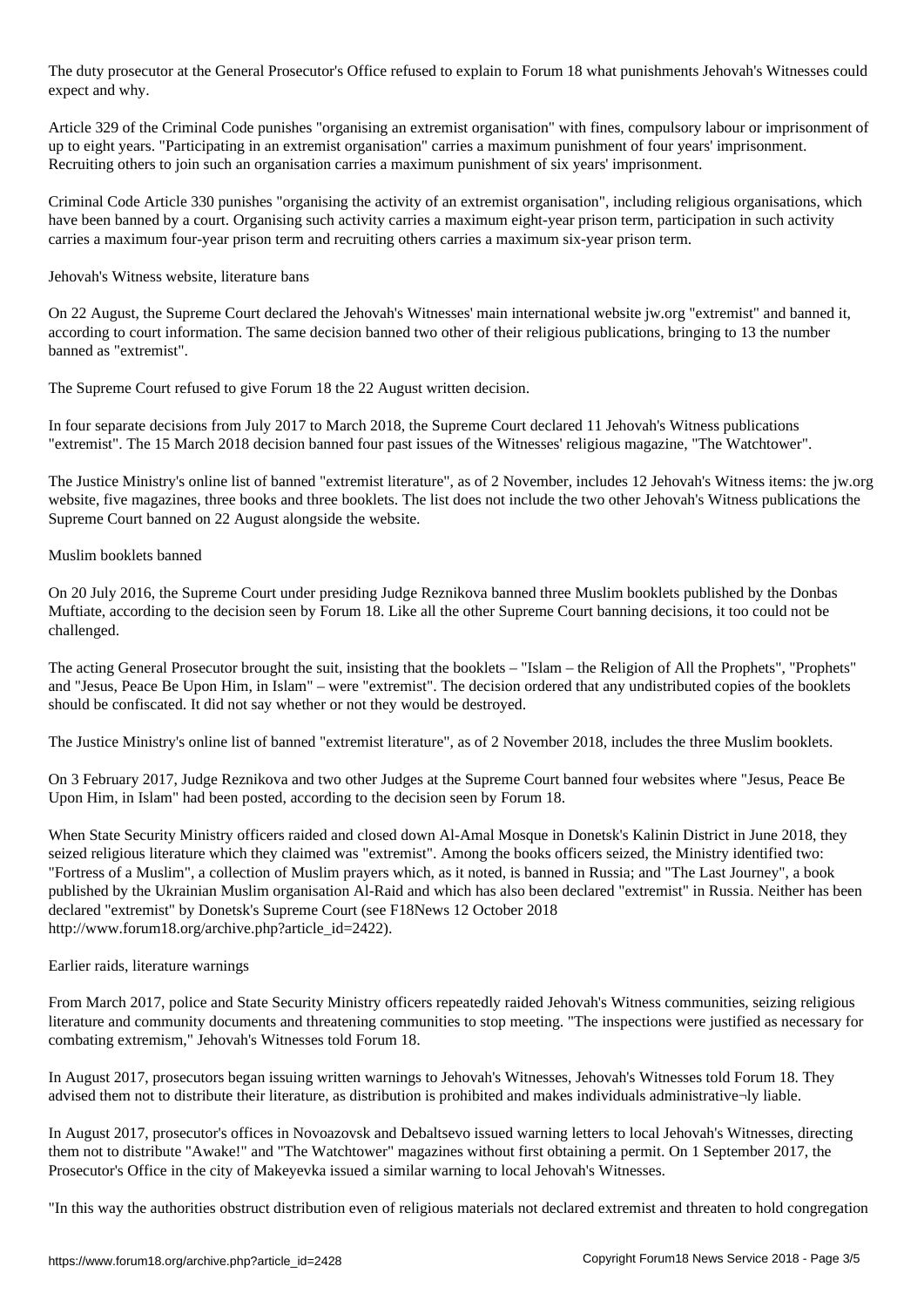The duty prosecutor's Office refused to explain to  $\Gamma$  what punishments  $\Gamma$  what punishments  $\Gamma$ expect and why.

Article 329 of the Criminal Code punishes "organising an extremist organisation" with fines, compulsory labour or imprisonment of up to eight years. "Participating in an extremist organisation" carries a maximum punishment of four years' imprisonment. Recruiting others to join such an organisation carries a maximum punishment of six years' imprisonment.

Criminal Code Article 330 punishes "organising the activity of an extremist organisation", including religious organisations, which have been banned by a court. Organising such activity carries a maximum eight-year prison term, participation in such activity carries a maximum four-year prison term and recruiting others carries a maximum six-year prison term.

Jehovah's Witness website, literature bans

On 22 August, the Supreme Court declared the Jehovah's Witnesses' main international website jw.org "extremist" and banned it, according to court information. The same decision banned two other of their religious publications, bringing to 13 the number banned as "extremist".

The Supreme Court refused to give Forum 18 the 22 August written decision.

In four separate decisions from July 2017 to March 2018, the Supreme Court declared 11 Jehovah's Witness publications "extremist". The 15 March 2018 decision banned four past issues of the Witnesses' religious magazine, "The Watchtower".

The Justice Ministry's online list of banned "extremist literature", as of 2 November, includes 12 Jehovah's Witness items: the jw.org website, five magazines, three books and three booklets. The list does not include the two other Jehovah's Witness publications the Supreme Court banned on 22 August alongside the website.

## Muslim booklets banned

On 20 July 2016, the Supreme Court under presiding Judge Reznikova banned three Muslim booklets published by the Donbas Muftiate, according to the decision seen by Forum 18. Like all the other Supreme Court banning decisions, it too could not be challenged.

The acting General Prosecutor brought the suit, insisting that the booklets – "Islam – the Religion of All the Prophets", "Prophets" and "Jesus, Peace Be Upon Him, in Islam" – were "extremist". The decision ordered that any undistributed copies of the booklets should be confiscated. It did not say whether or not they would be destroyed.

The Justice Ministry's online list of banned "extremist literature", as of 2 November 2018, includes the three Muslim booklets.

On 3 February 2017, Judge Reznikova and two other Judges at the Supreme Court banned four websites where "Jesus, Peace Be Upon Him, in Islam" had been posted, according to the decision seen by Forum 18.

When State Security Ministry officers raided and closed down Al-Amal Mosque in Donetsk's Kalinin District in June 2018, they seized religious literature which they claimed was "extremist". Among the books officers seized, the Ministry identified two: "Fortress of a Muslim", a collection of Muslim prayers which, as it noted, is banned in Russia; and "The Last Journey", a book published by the Ukrainian Muslim organisation Al-Raid and which has also been declared "extremist" in Russia. Neither has been declared "extremist" by Donetsk's Supreme Court (see F18News 12 October 2018 http://www.forum18.org/archive.php?article\_id=2422).

## Earlier raids, literature warnings

From March 2017, police and State Security Ministry officers repeatedly raided Jehovah's Witness communities, seizing religious literature and community documents and threatening communities to stop meeting. "The inspections were justified as necessary for combating extremism," Jehovah's Witnesses told Forum 18.

In August 2017, prosecutors began issuing written warnings to Jehovah's Witnesses, Jehovah's Witnesses told Forum 18. They advised them not to distribute their literature, as distribution is prohibited and makes individuals administrative¬ly liable.

In August 2017, prosecutor's offices in Novoazovsk and Debaltsevo issued warning letters to local Jehovah's Witnesses, directing them not to distribute "Awake!" and "The Watchtower" magazines without first obtaining a permit. On 1 September 2017, the Prosecutor's Office in the city of Makeyevka issued a similar warning to local Jehovah's Witnesses.

"In this way the authorities obstruct distribution even of religious materials not declared extremist and threaten to hold congregation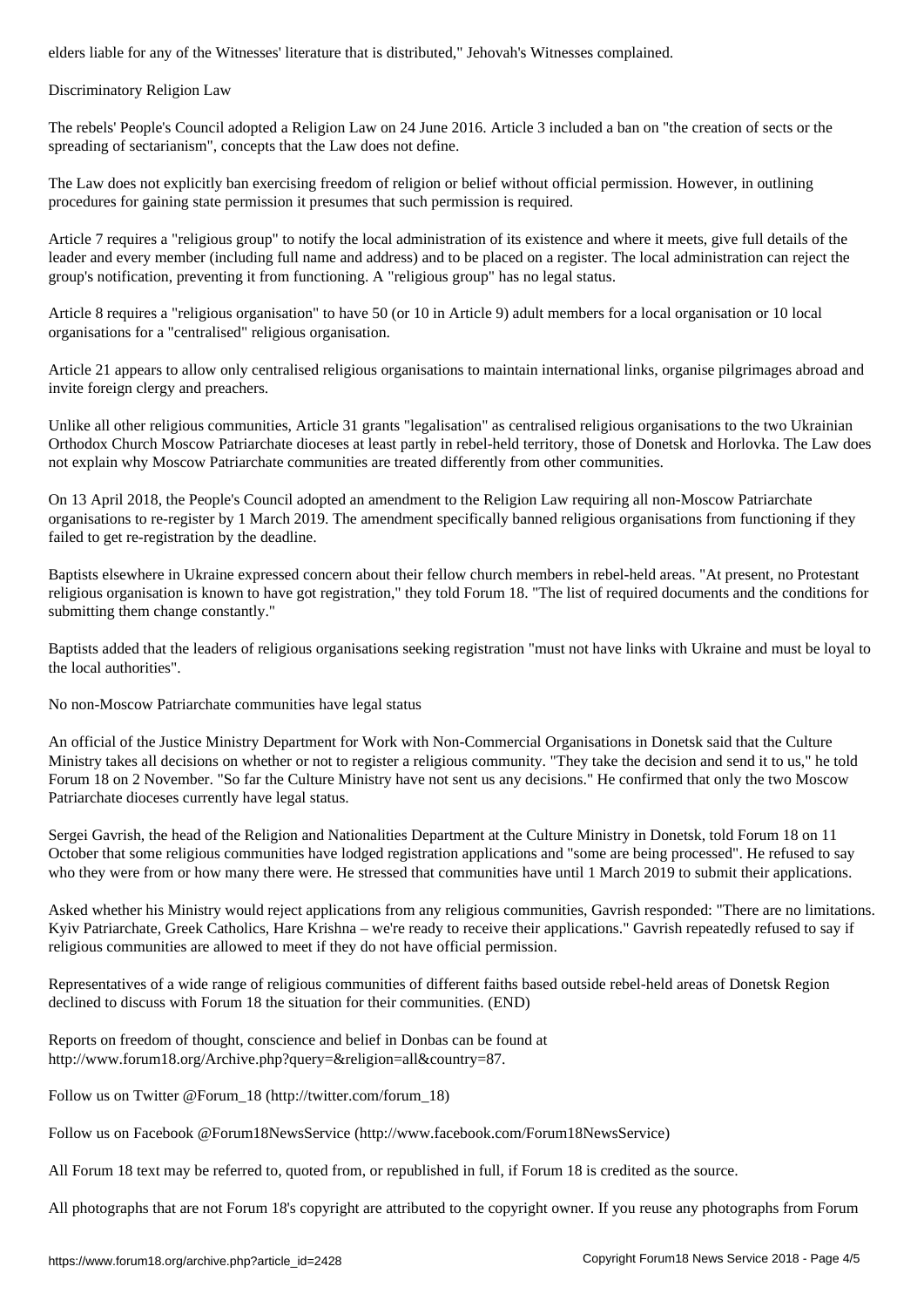## Discriminatory Religion Law

The rebels' People's Council adopted a Religion Law on 24 June 2016. Article 3 included a ban on "the creation of sects or the spreading of sectarianism", concepts that the Law does not define.

The Law does not explicitly ban exercising freedom of religion or belief without official permission. However, in outlining procedures for gaining state permission it presumes that such permission is required.

Article 7 requires a "religious group" to notify the local administration of its existence and where it meets, give full details of the leader and every member (including full name and address) and to be placed on a register. The local administration can reject the group's notification, preventing it from functioning. A "religious group" has no legal status.

Article 8 requires a "religious organisation" to have 50 (or 10 in Article 9) adult members for a local organisation or 10 local organisations for a "centralised" religious organisation.

Article 21 appears to allow only centralised religious organisations to maintain international links, organise pilgrimages abroad and invite foreign clergy and preachers.

Unlike all other religious communities, Article 31 grants "legalisation" as centralised religious organisations to the two Ukrainian Orthodox Church Moscow Patriarchate dioceses at least partly in rebel-held territory, those of Donetsk and Horlovka. The Law does not explain why Moscow Patriarchate communities are treated differently from other communities.

On 13 April 2018, the People's Council adopted an amendment to the Religion Law requiring all non-Moscow Patriarchate organisations to re-register by 1 March 2019. The amendment specifically banned religious organisations from functioning if they failed to get re-registration by the deadline.

Baptists elsewhere in Ukraine expressed concern about their fellow church members in rebel-held areas. "At present, no Protestant religious organisation is known to have got registration," they told Forum 18. "The list of required documents and the conditions for submitting them change constantly."

Baptists added that the leaders of religious organisations seeking registration "must not have links with Ukraine and must be loyal to the local authorities".

No non-Moscow Patriarchate communities have legal status

An official of the Justice Ministry Department for Work with Non-Commercial Organisations in Donetsk said that the Culture Ministry takes all decisions on whether or not to register a religious community. "They take the decision and send it to us," he told Forum 18 on 2 November. "So far the Culture Ministry have not sent us any decisions." He confirmed that only the two Moscow Patriarchate dioceses currently have legal status.

Sergei Gavrish, the head of the Religion and Nationalities Department at the Culture Ministry in Donetsk, told Forum 18 on 11 October that some religious communities have lodged registration applications and "some are being processed". He refused to say who they were from or how many there were. He stressed that communities have until 1 March 2019 to submit their applications.

Asked whether his Ministry would reject applications from any religious communities, Gavrish responded: "There are no limitations. Kyiv Patriarchate, Greek Catholics, Hare Krishna – we're ready to receive their applications." Gavrish repeatedly refused to say if religious communities are allowed to meet if they do not have official permission.

Representatives of a wide range of religious communities of different faiths based outside rebel-held areas of Donetsk Region declined to discuss with Forum 18 the situation for their communities. (END)

Reports on freedom of thought, conscience and belief in Donbas can be found at http://www.forum18.org/Archive.php?query=&religion=all&country=87.

Follow us on Twitter @Forum\_18 (http://twitter.com/forum\_18)

Follow us on Facebook @Forum18NewsService (http://www.facebook.com/Forum18NewsService)

All Forum 18 text may be referred to, quoted from, or republished in full, if Forum 18 is credited as the source.

All photographs that are not Forum 18's copyright are attributed to the copyright owner. If you reuse any photographs from Forum